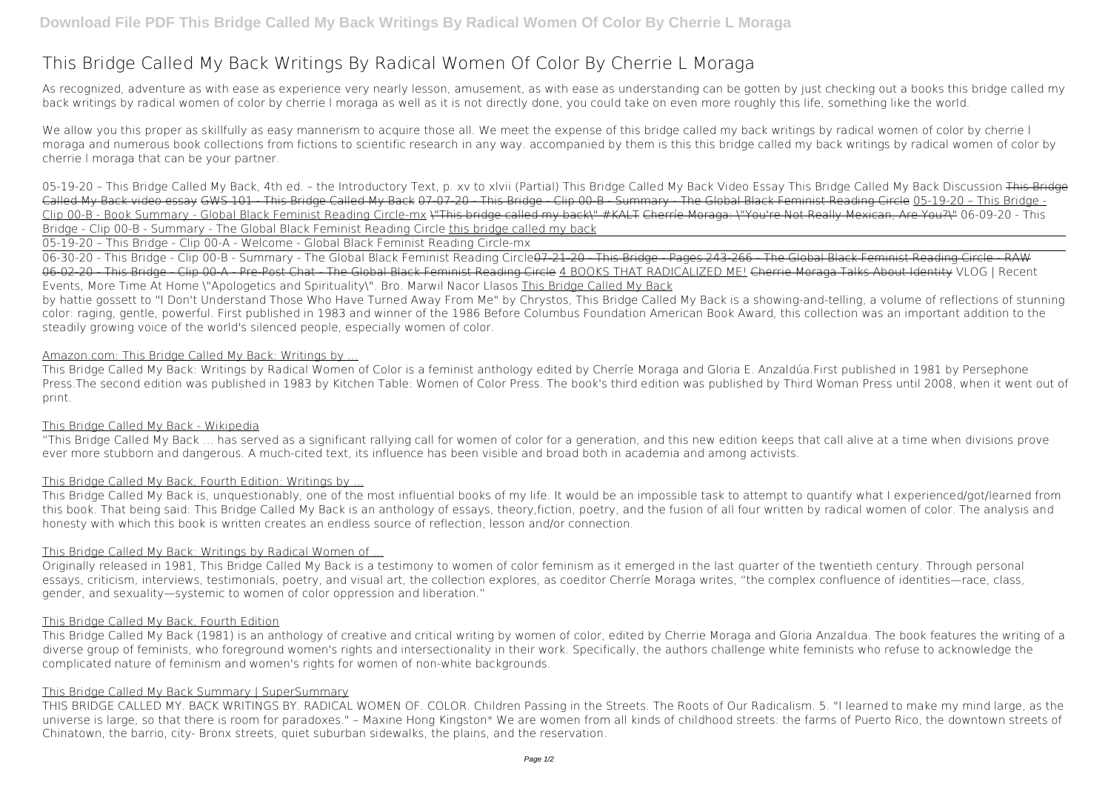# **This Bridge Called My Back Writings By Radical Women Of Color By Cherrie L Moraga**

As recognized, adventure as with ease as experience very nearly lesson, amusement, as with ease as understanding can be gotten by just checking out a books **this bridge called my back writings by radical women of color by cherrie l moraga** as well as it is not directly done, you could take on even more roughly this life, something like the world.

We allow you this proper as skillfully as easy mannerism to acquire those all. We meet the expense of this bridge called my back writings by radical women of color by cherrie I moraga and numerous book collections from fictions to scientific research in any way. accompanied by them is this this bridge called my back writings by radical women of color by cherrie l moraga that can be your partner.

06-30-20 - This Bridge - Clip 00-B - Summary - The Global Black Feminist Reading Circle<del>07-21-20 - This Bridge - Pages 243-266 - The Global Black Feminist Reading Circle - RAW</del> 06-02-20 - This Bridge - Clip 00-A - Pre-Post Chat - The Global Black Feminist Reading Circle 4 BOOKS THAT RADICALIZED ME! Cherrie Moraga Talks About Identity *VLOG | Recent Events, More Time At Home* **\"Apologetics and Spirituality\". Bro. Marwil Nacor Llasos** This Bridge Called My Back

**05-19-20 – This Bridge Called My Back, 4th ed. – the Introductory Text, p. xv to xlvii (Partial)** *This Bridge Called My Back Video Essay This Bridge Called My Back Discussion* This Bridge Called My Back video essay GWS 101 - This Bridge Called My Back 07-07-20 - This Bridge - Clip 00-B - Summary - The Global Black Feminist Reading Circle 05-19-20 – This Bridge - Clip 00-B - Book Summary - Global Black Feminist Reading Circle-mx \"This bridge called my back\" #KALT Cherríe Moraga: \"You're Not Really Mexican, Are You?\" **06-09-20 - This Bridge - Clip 00-B - Summary - The Global Black Feminist Reading Circle** this bridge called my back

05-19-20 – This Bridge - Clip 00-A - Welcome - Global Black Feminist Reading Circle-mx

by hattie gossett to "I Don't Understand Those Who Have Turned Away From Me" by Chrystos, This Bridge Called My Back is a showing-and-telling, a volume of reflections of stunning color: raging, gentle, powerful. First published in 1983 and winner of the 1986 Before Columbus Foundation American Book Award, this collection was an important addition to the steadily growing voice of the world's silenced people, especially women of color.

## Amazon.com: This Bridge Called My Back: Writings by ...

This Bridge Called My Back: Writings by Radical Women of Color is a feminist anthology edited by Cherríe Moraga and Gloria E. Anzaldúa.First published in 1981 by Persephone Press.The second edition was published in 1983 by Kitchen Table: Women of Color Press. The book's third edition was published by Third Woman Press until 2008, when it went out of print.

# This Bridge Called My Back - Wikipedia

"This Bridge Called My Back … has served as a significant rallying call for women of color for a generation, and this new edition keeps that call alive at a time when divisions prove ever more stubborn and dangerous. A much-cited text, its influence has been visible and broad both in academia and among activists.

# This Bridge Called My Back, Fourth Edition: Writings by ...

This Bridge Called My Back is, unquestionably, one of the most influential books of my life. It would be an impossible task to attempt to quantify what I experienced/got/learned from this book. That being said: This Bridge Called My Back is an anthology of essays, theory,fiction, poetry, and the fusion of all four written by radical women of color. The analysis and honesty with which this book is written creates an endless source of reflection, lesson and/or connection.

# This Bridge Called My Back: Writings by Radical Women of ...

Originally released in 1981, This Bridge Called My Back is a testimony to women of color feminism as it emerged in the last quarter of the twentieth century. Through personal essays, criticism, interviews, testimonials, poetry, and visual art, the collection explores, as coeditor Cherríe Moraga writes, "the complex confluence of identities—race, class, gender, and sexuality—systemic to women of color oppression and liberation."

# This Bridge Called My Back, Fourth Edition

This Bridge Called My Back (1981) is an anthology of creative and critical writing by women of color, edited by Cherrie Moraga and Gloria Anzaldua. The book features the writing of a diverse group of feminists, who foreground women's rights and intersectionality in their work. Specifically, the authors challenge white feminists who refuse to acknowledge the complicated nature of feminism and women's rights for women of non-white backgrounds.

# This Bridge Called My Back Summary | SuperSummary

THIS BRIDGE CALLED MY. BACK WRITINGS BY. RADICAL WOMEN OF. COLOR. Children Passing in the Streets. The Roots of Our Radicalism. 5. "I learned to make my mind large, as the universe is large, so that there is room for paradoxes." – Maxine Hong Kingston\* We are women from all kinds of childhood streets: the farms of Puerto Rico, the downtown streets of Chinatown, the barrio, city- Bronx streets, quiet suburban sidewalks, the plains, and the reservation.